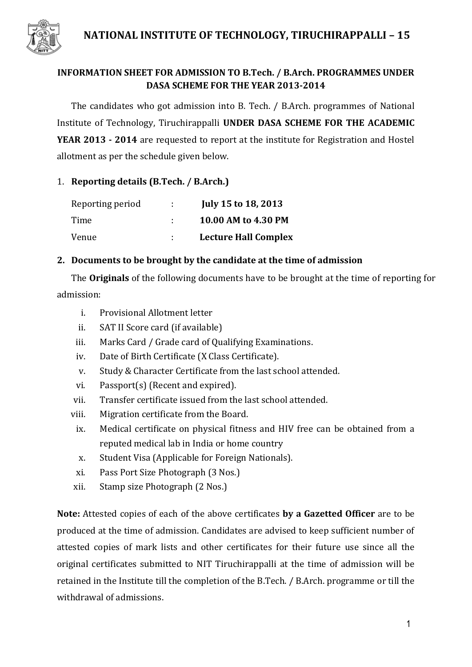

### **INFORMATION SHEET FOR ADMISSION TO B.Tech. / B.Arch. PROGRAMMES UNDER DASA SCHEME FOR THE YEAR 2013-2014**

The candidates who got admission into B. Tech. / B.Arch. programmes of National Institute of Technology, Tiruchirappalli **UNDER DASA SCHEME FOR THE ACADEMIC YEAR 2013 - 2014** are requested to report at the institute for Registration and Hostel allotment as per the schedule given below.

# 1. **Reporting details (B.Tech. / B.Arch.)**

| Reporting period | $\mathcal{L}$ | <b>July 15 to 18, 2013</b>  |
|------------------|---------------|-----------------------------|
| Time             |               | 10.00 AM to 4.30 PM         |
| Venue            |               | <b>Lecture Hall Complex</b> |

# **2. Documents to be brought by the candidate at the time of admission**

The **Originals** of the following documents have to be brought at the time of reporting for admission:

- i. Provisional Allotment letter
- ii. SAT II Score card (if available)
- iii. Marks Card / Grade card of Qualifying Examinations.
- iv. Date of Birth Certificate (X Class Certificate).
- v. Study & Character Certificate from the last school attended.
- vi. Passport(s) (Recent and expired).
- vii. Transfer certificate issued from the last school attended.
- viii. Migration certificate from the Board.
	- ix. Medical certificate on physical fitness and HIV free can be obtained from a reputed medical lab in India or home country
	- x. Student Visa (Applicable for Foreign Nationals).
	- xi. Pass Port Size Photograph (3 Nos.)
- xii. Stamp size Photograph (2 Nos.)

**Note:** Attested copies of each of the above certificates **by a Gazetted Officer** are to be produced at the time of admission. Candidates are advised to keep sufficient number of attested copies of mark lists and other certificates for their future use since all the original certificates submitted to NIT Tiruchirappalli at the time of admission will be retained in the Institute till the completion of the B.Tech. / B.Arch. programme or till the withdrawal of admissions.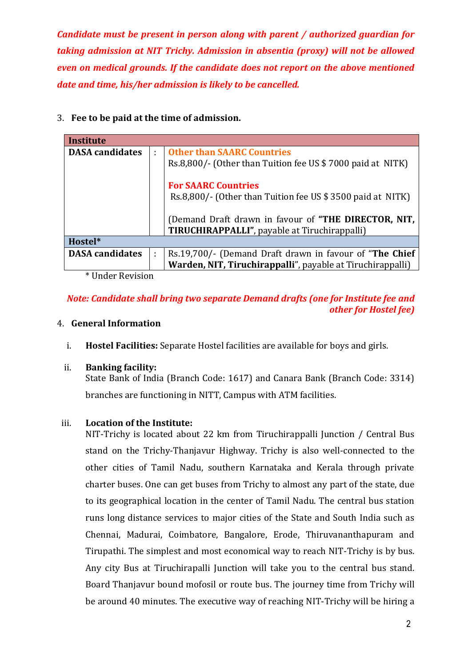*Candidate must be present in person along with parent / authorized guardian for taking admission at NIT Trichy. Admission in absentia (proxy) will not be allowed even on medical grounds. If the candidate does not report on the above mentioned date and time, his/her admission is likely to be cancelled.* 

#### 3. **Fee to be paid at the time of admission.**

| Institute                                        |   |                                                                                                       |
|--------------------------------------------------|---|-------------------------------------------------------------------------------------------------------|
| <b>DASA</b> candidates                           |   | <b>Other than SAARC Countries</b>                                                                     |
|                                                  |   | Rs.8,800/- (Other than Tuition fee US \$7000 paid at NITK)                                            |
|                                                  |   | <b>For SAARC Countries</b><br>Rs.8,800/- (Other than Tuition fee US \$3500 paid at NITK)              |
|                                                  |   | (Demand Draft drawn in favour of "THE DIRECTOR, NIT,<br>TIRUCHIRAPPALLI", payable at Tiruchirappalli) |
| Hostel*                                          |   |                                                                                                       |
| <b>DASA</b> candidates                           | ÷ | Rs.19,700/- (Demand Draft drawn in favour of "The Chief"                                              |
|                                                  |   | Warden, NIT, Tiruchirappalli", payable at Tiruchirappalli)                                            |
| $\sim$ $\sim$ $\sim$ $\sim$ $\sim$ $\sim$ $\sim$ |   |                                                                                                       |

\* Under Revision

### *Note: Candidate shall bring two separate Demand drafts (one for Institute fee and other for Hostel fee)*

### 4. **General Information**

i. **Hostel Facilities:** Separate Hostel facilities are available for boys and girls.

### ii. **Banking facility:**

State Bank of India (Branch Code: 1617) and Canara Bank (Branch Code: 3314) branches are functioning in NITT, Campus with ATM facilities.

### iii. **Location of the Institute:**

NIT-Trichy is located about 22 km from Tiruchirappalli Junction / Central Bus stand on the Trichy-Thanjavur Highway. Trichy is also well-connected to the other cities of Tamil Nadu, southern Karnataka and Kerala through private charter buses. One can get buses from Trichy to almost any part of the state, due to its geographical location in the center of Tamil Nadu. The central bus station runs long distance services to major cities of the State and South India such as Chennai, Madurai, Coimbatore, Bangalore, Erode, Thiruvananthapuram and Tirupathi. The simplest and most economical way to reach NIT-Trichy is by bus. Any city Bus at Tiruchirapalli Junction will take you to the central bus stand. Board Thanjavur bound mofosil or route bus. The journey time from Trichy will be around 40 minutes. The executive way of reaching NIT-Trichy will be hiring a